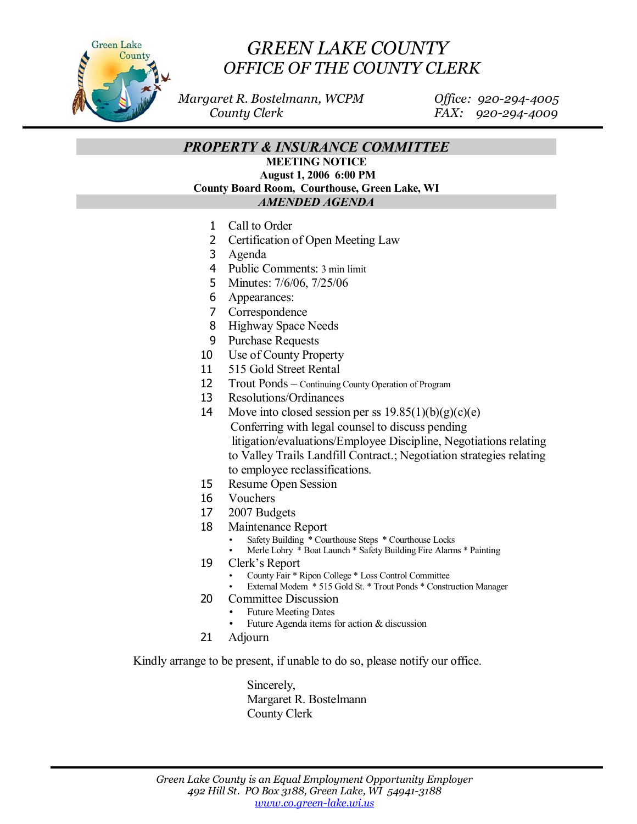

## *GREEN LAKE COUNTY OFFICE OF THE COUNTY CLERK*

 *Margaret R. Bostelmann, WCPM Office: 920-294-4005 County Clerk FAX: 920-294-4009* 

*PROPERTY & INSURANCE COMMITTEE* 

**MEETING NOTICE August 1, 2006 6:00 PM County Board Room, Courthouse, Green Lake, WI**  *AMENDED AGENDA* 

- 1 Call to Order
- 2 Certification of Open Meeting Law
- 3 Agenda
- 4 Public Comments: 3 min limit
- 5 Minutes: 7/6/06, 7/25/06
- 6 Appearances:
- 7 Correspondence
- 8 Highway Space Needs
- 9 Purchase Requests
- 10 Use of County Property
- 11 515 Gold Street Rental
- 12 Trout Ponds Continuing County Operation of Program
- 13 Resolutions/Ordinances
- 14 Move into closed session per ss  $19.85(1)(b)(g)(c)(e)$  Conferring with legal counsel to discuss pending litigation/evaluations/Employee Discipline, Negotiations relating to Valley Trails Landfill Contract.; Negotiation strategies relating to employee reclassifications.
- 15 Resume Open Session
- 16 Vouchers
- 17 2007 Budgets
- 18 Maintenance Report
	- Safety Building \* Courthouse Steps \* Courthouse Locks
	- Merle Lohry \* Boat Launch \* Safety Building Fire Alarms \* Painting
- 19 Clerk's Report
	- County Fair \* Ripon College \* Loss Control Committee
	- External Modem \* 515 Gold St. \* Trout Ponds \* Construction Manager
- 20 Committee Discussion
	- Future Meeting Dates
		- Future Agenda items for action  $&$  discussion
- 21 Adjourn

Kindly arrange to be present, if unable to do so, please notify our office.

 Sincerely, Margaret R. Bostelmann County Clerk